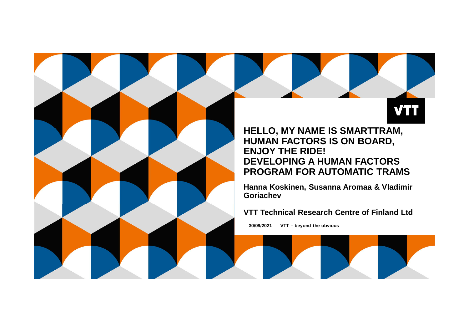**HELLO, MY NAME IS SMARTTRAM, HUMAN FACTORS IS ON BOARD, ENJOY THE RIDE! DEVELOPING A HUMAN FACTORS PROGRAM FOR AUTOMATIC TRAMS**

**Hanna Koskinen, Susanna Aromaa & Vladimir Goriachev**

**VTT Technical Research Centre of Finland Ltd**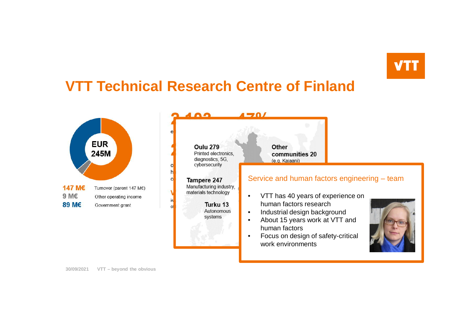## **VTT Technical Research Centre of Finland**



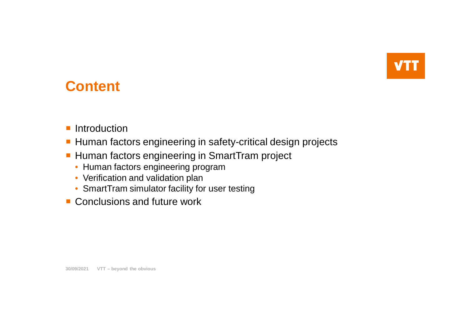

### **Content**

- **Introduction**
- Human factors engineering in safety-critical design projects
- **Human factors engineering in SmartTram project** 
	- Human factors engineering program
	- Verification and validation plan
	- SmartTram simulator facility for user testing
- Conclusions and future work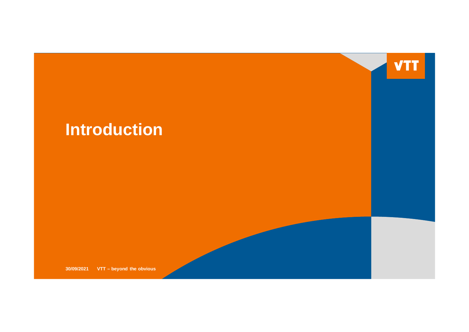

# **Introduction**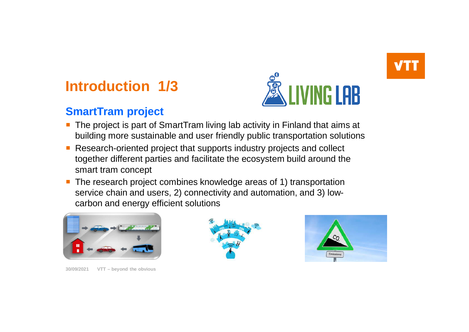# **Introduction 1/3**

### **SmartTram project**



- The project is part of SmartTram living lab activity in Finland that aims at building more sustainable and user friendly public transportation solutions
- Research-oriented project that supports industry projects and collect together different parties and facilitate the ecosystem build around the smart tram concept
- The research project combines knowledge areas of 1) transportation service chain and users, 2) connectivity and automation, and 3) lowcarbon and energy efficient solutions



**30/09/2021 VTT – beyond the obvious**



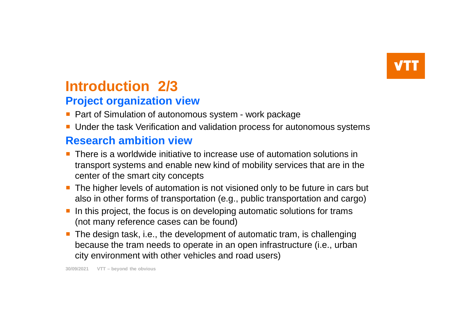# **Introduction 2/3**

### **Project organization view**

- Part of Simulation of autonomous system work package
- Under the task Verification and validation process for autonomous systems

### **Research ambition view**

- **There is a worldwide initiative to increase use of automation solutions in** transport systems and enable new kind of mobility services that are in the center of the smart city concepts
- The higher levels of automation is not visioned only to be future in cars but also in other forms of transportation (e.g., public transportation and cargo)
- $\blacksquare$  In this project, the focus is on developing automatic solutions for trams (not many reference cases can be found)
- **The design task, i.e., the development of automatic tram, is challenging** because the tram needs to operate in an open infrastructure (i.e., urban city environment with other vehicles and road users)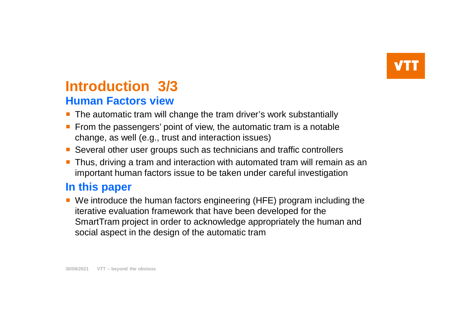### **Human Factors view Introduction 3/3**

- The automatic tram will change the tram driver's work substantially
- From the passengers' point of view, the automatic tram is a notable change, as well (e.g., trust and interaction issues)
- **Several other user groups such as technicians and traffic controllers**
- **Thus, driving a tram and interaction with automated tram will remain as an** important human factors issue to be taken under careful investigation

#### **In this paper**

■ We introduce the human factors engineering (HFE) program including the iterative evaluation framework that have been developed for the SmartTram project in order to acknowledge appropriately the human and social aspect in the design of the automatic tram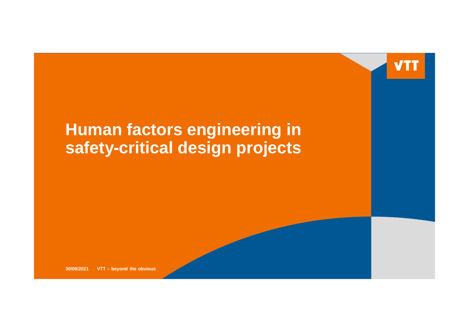

# **Human factors engineering in safety-critical design projects**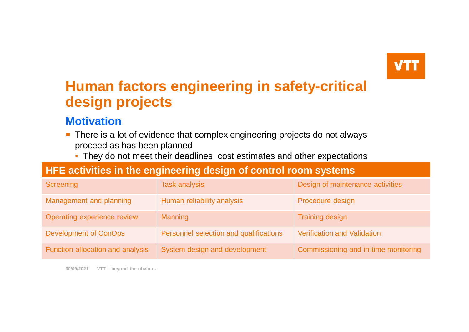## **Human factors engineering in safety-critical design projects**

#### **Motivation**

- **There is a lot of evidence that complex engineering projects do not always** proceed as has been planned
	- They do not meet their deadlines, cost estimates and other expectations

#### **HFE activities in the engineering design of control room systems**

| Screening                        | <b>Task analysis</b>                   | Design of maintenance activities     |
|----------------------------------|----------------------------------------|--------------------------------------|
| Management and planning          | Human reliability analysis             | Procedure design                     |
| Operating experience review      | <b>Manning</b>                         | <b>Training design</b>               |
| <b>Development of ConOps</b>     | Personnel selection and qualifications | <b>Verification and Validation</b>   |
| Function allocation and analysis | System design and development          | Commissioning and in-time monitoring |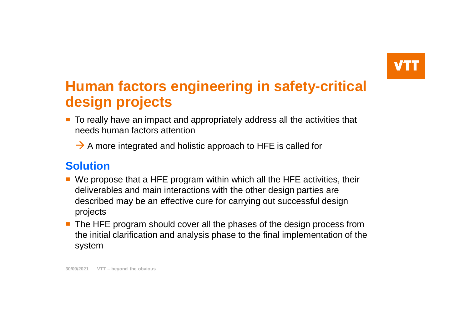## **Human factors engineering in safety-critical design projects**

- **To really have an impact and appropriately address all the activities that** needs human factors attention
	- $\rightarrow$  A more integrated and holistic approach to HFE is called for

### **Solution**

- We propose that a HFE program within which all the HFE activities, their deliverables and main interactions with the other design parties are described may be an effective cure for carrying out successful design projects
- The HFE program should cover all the phases of the design process from the initial clarification and analysis phase to the final implementation of the system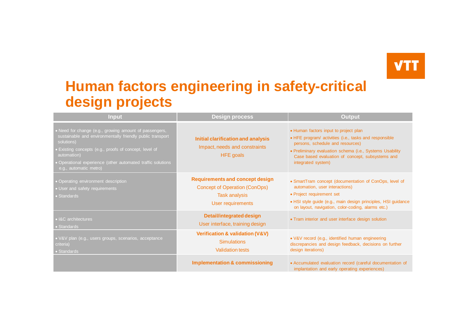### **Human factors engineering in safety-critical design projects**

| <b>Input</b>                                                                                                                                                                                                                                                                                      | <b>Design process</b>                                                                                                | <b>Output</b>                                                                                                                                                                                                                                                             |
|---------------------------------------------------------------------------------------------------------------------------------------------------------------------------------------------------------------------------------------------------------------------------------------------------|----------------------------------------------------------------------------------------------------------------------|---------------------------------------------------------------------------------------------------------------------------------------------------------------------------------------------------------------------------------------------------------------------------|
| • Need for change (e.g., growing amount of passengers,<br>sustainable and environmentally friendly public transport<br>solutions)<br>Existing concepts (e.g., proofs of concept, level of<br>automation)<br>• Operational experience (other automated traffic solutions<br>e.g., automatic metro) | Initial clarification and analysis<br>Impact, needs and constraints<br><b>HFE</b> goals                              | • Human factors input to project plan<br>• HFE program/ activities (i.e., tasks and responsible<br>persons, schedule and resources)<br>• Preliminary evaluation schema (i.e., Systems Usability<br>Case based evaluation of concept, subsystems and<br>integrated system) |
| • Operating environment description<br>• User and safety requirements<br>• Standards                                                                                                                                                                                                              | <b>Requirements and concept design</b><br>Concept of Operation (ConOps)<br><b>Task analysis</b><br>User requirements | • SmartTram concept (documentation of ConOps, level of<br>automation, user interactions)<br>• Project requirement set<br>· HSI style guide (e.g., main design principles, HSI guidance<br>on layout, navigation, color-coding, alarms etc.)                               |
| • I&C architectures<br>• Standards                                                                                                                                                                                                                                                                | <b>Detail/integrated design</b><br>User interface, training design                                                   | • Tram interior and user interface design solution                                                                                                                                                                                                                        |
| • V&V plan (e.g., users groups, scenarios, acceptance<br>criteria)<br>• Standards                                                                                                                                                                                                                 | Verification & validation (V&V)<br><b>Simulations</b><br><b>Validation tests</b>                                     | · V&V record (e.g., identified human engineering<br>discrepancies and design feedback, decisions on further<br>design iterations)                                                                                                                                         |
|                                                                                                                                                                                                                                                                                                   | <b>Implementation &amp; commissioning</b>                                                                            | • Accumulated evaluation record (careful documentation of<br>implantation and early operating experiences)                                                                                                                                                                |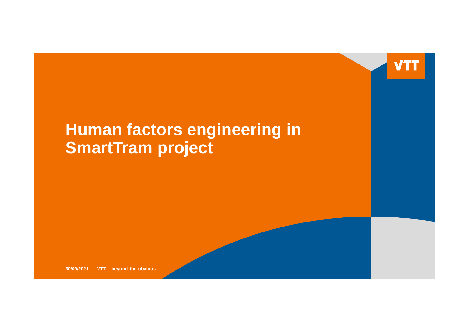

# **Human factors engineering in SmartTram project**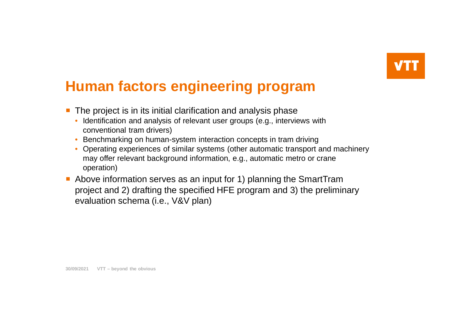## **Human factors engineering program**

- The project is in its initial clarification and analysis phase
	- Identification and analysis of relevant user groups (e.g., interviews with conventional tram drivers)
	- Benchmarking on human-system interaction concepts in tram driving
	- Operating experiences of similar systems (other automatic transport and machinery may offer relevant background information, e.g., automatic metro or crane operation)
- Above information serves as an input for 1) planning the SmartTram project and 2) drafting the specified HFE program and 3) the preliminary evaluation schema (i.e., V&V plan)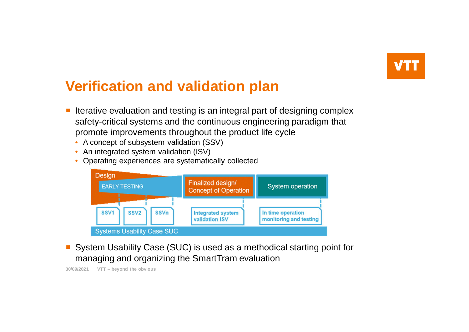# **Verification and validation plan**

- Iterative evaluation and testing is an integral part of designing complex safety-critical systems and the continuous engineering paradigm that promote improvements throughout the product life cycle
	- A concept of subsystem validation (SSV)
	- An integrated system validation (ISV)
	- Operating experiences are systematically collected



System Usability Case (SUC) is used as a methodical starting point for managing and organizing the SmartTram evaluation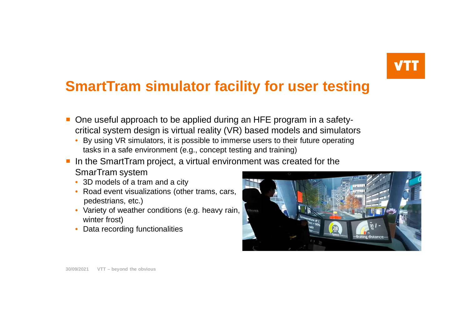### **SmartTram simulator facility for user testing**

- One useful approach to be applied during an HFE program in a safetycritical system design is virtual reality (VR) based models and simulators
	- By using VR simulators, it is possible to immerse users to their future operating tasks in a safe environment (e.g., concept testing and training)
- In the SmartTram project, a virtual environment was created for the SmarTram system
	- 3D models of a tram and a city
	- Road event visualizations (other trams, cars, pedestrians, etc.)
	- Variety of weather conditions (e.g. heavy rain, winter frost)
	- Data recording functionalities

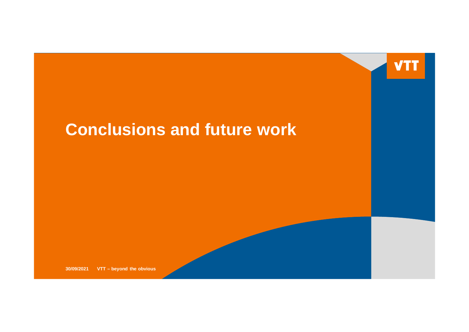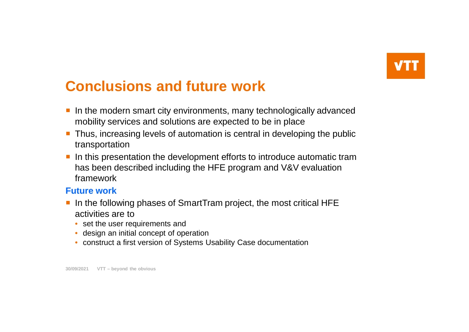## **Conclusions and future work**

- In the modern smart city environments, many technologically advanced mobility services and solutions are expected to be in place
- **Thus, increasing levels of automation is central in developing the public** transportation
- I In this presentation the development efforts to introduce automatic tram has been described including the HFE program and V&V evaluation framework

#### **Future work**

- In the following phases of SmartTram project, the most critical HFE activities are to
	- set the user requirements and
	- design an initial concept of operation
	- construct a first version of Systems Usability Case documentation